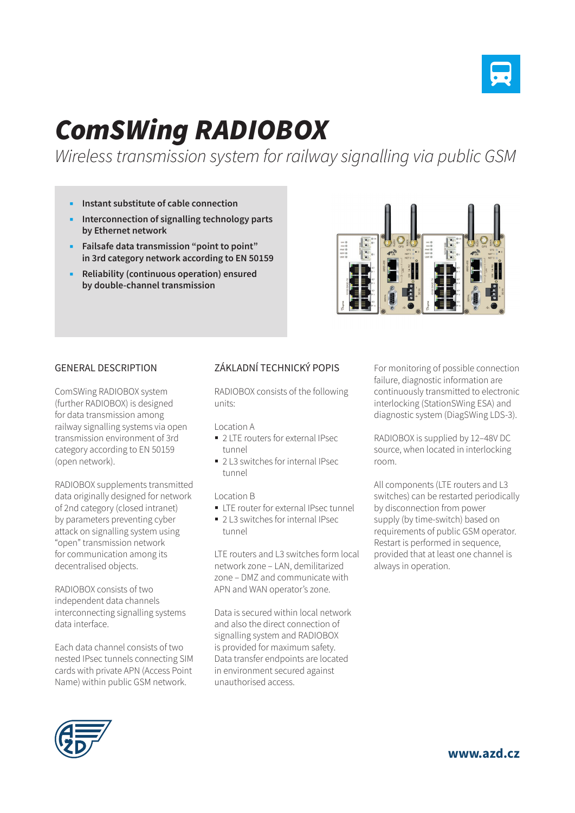

## *ComSWing RADIOBOX*

*Wireless transmission system for railway signalling via public GSM* 

- **Instant substitute of cable connection**
- **Interconnection of signalling technology parts by Ethernet network**
- **Failsafe data transmission "point to point" in 3rd category network according to EN 50159**
- **Reliability (continuous operation) ensured by double-channel transmission**



## GENERAL DESCRIPTION

ComSWing RADIOBOX system (further RADIOBOX) is designed for data transmission among railway signalling systems via open transmission environment of 3rd category according to EN 50159 (open network).

RADIOBOX supplements transmitted data originally designed for network of 2nd category (closed intranet) by parameters preventing cyber attack on signalling system using "open" transmission network for communication among its decentralised objects.

RADIOBOX consists of two independent data channels interconnecting signalling systems data interface.

Each data channel consists of two nested IPsec tunnels connecting SIM cards with private APN (Access Point Name) within public GSM network.

## ZÁKLADNÍ TECHNICKÝ POPIS

RADIOBOX consists of the following units:

Location A

- 2 LTE routers for external IPsec tunnel
- 2 L3 switches for internal IPsec tunnel

Location B

- **LTE** router for external IPsec tunnel
- 2 L3 switches for internal IPsec tunnel

LTE routers and L3 switches form local network zone – LAN, demilitarized zone – DMZ and communicate with APN and WAN operator's zone.

Data is secured within local network and also the direct connection of signalling system and RADIOBOX is provided for maximum safety. Data transfer endpoints are located in environment secured against unauthorised access.

For monitoring of possible connection failure, diagnostic information are continuously transmitted to electronic interlocking (StationSWing ESA) and diagnostic system (DiagSWing LDS-3).

RADIOBOX is supplied by 12–48V DC source, when located in interlocking room.

All components (LTE routers and L3 switches) can be restarted periodically by disconnection from power supply (by time-switch) based on requirements of public GSM operator. Restart is performed in sequence, provided that at least one channel is always in operation.